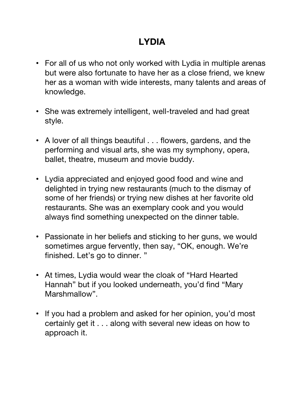## **LYDIA**

- For all of us who not only worked with Lydia in multiple arenas but were also fortunate to have her as a close friend, we knew her as a woman with wide interests, many talents and areas of knowledge.
- She was extremely intelligent, well-traveled and had great style.
- A lover of all things beautiful . . . flowers, gardens, and the performing and visual arts, she was my symphony, opera, ballet, theatre, museum and movie buddy.
- Lydia appreciated and enjoyed good food and wine and delighted in trying new restaurants (much to the dismay of some of her friends) or trying new dishes at her favorite old restaurants. She was an exemplary cook and you would always find something unexpected on the dinner table.
- Passionate in her beliefs and sticking to her guns, we would sometimes argue fervently, then say, "OK, enough. We're finished. Let's go to dinner. "
- At times, Lydia would wear the cloak of "Hard Hearted Hannah" but if you looked underneath, you'd find "Mary Marshmallow".
- If you had a problem and asked for her opinion, you'd most certainly get it . . . along with several new ideas on how to approach it.